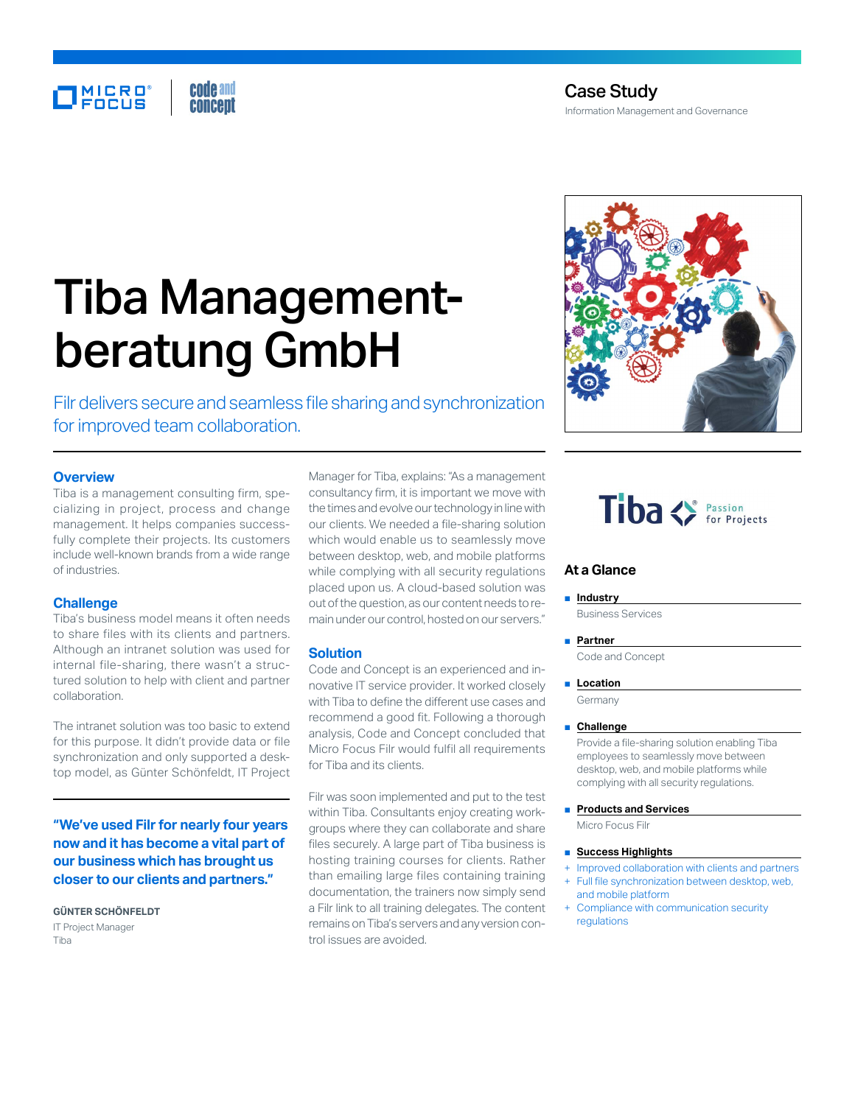# Tiba Managementberatung GmbH

Filr delivers secure and seamless file sharing and synchronization for improved team collaboration.

# **Overview**

Tiba is a management consulting firm, specializing in project, process and change management. It helps companies successfully complete their projects. Its customers include well-known brands from a wide range of industries.

## **Challenge**

Tiba's business model means it often needs to share files with its clients and partners. Although an intranet solution was used for internal file-sharing, there wasn't a structured solution to help with client and partner collaboration.

The intranet solution was too basic to extend for this purpose. It didn't provide data or file synchronization and only supported a desktop model, as Günter Schönfeldt, IT Project

**"We've used Filr for nearly four years now and it has become a vital part of our business which has brought us closer to our clients and partners."**

**GÜNTER SCHÖNFELDT** IT Project Manager Tiba

Manager for Tiba, explains: "As a management consultancy firm, it is important we move with the times and evolve our technology in line with our clients. We needed a file-sharing solution which would enable us to seamlessly move between desktop, web, and mobile platforms while complying with all security regulations placed upon us. A cloud-based solution was out of the question, as our content needs to remain under our control, hosted on our servers."

# **Solution**

Code and Concept is an experienced and innovative IT service provider. It worked closely with Tiba to define the different use cases and recommend a good fit. Following a thorough analysis, Code and Concept concluded that Micro Focus Filr would fulfil all requirements for Tiba and its clients.

Filr was soon implemented and put to the test within Tiba. Consultants enjoy creating workgroups where they can collaborate and share files securely. A large part of Tiba business is hosting training courses for clients. Rather than emailing large files containing training documentation, the trainers now simply send a Filr link to all training delegates. The content remains on Tiba's servers and any version control issues are avoided.

# Tiba <>>
For Projects

# **At a Glance**

■ **Industry** Business Services

### ■ **Partner**

Code and Concept

#### ■ **Location**

Germany

### ■ **Challenge**

Provide a file-sharing solution enabling Tiba employees to seamlessly move between desktop, web, and mobile platforms while complying with all security regulations.

- **Products and Services** Micro Focus Filr
- **Success Highlights**
- + Improved collaboration with clients and partners Full file synchronization between desktop, web,
- and mobile platform Compliance with communication security
- regulations

Case Study Information Management and Governance